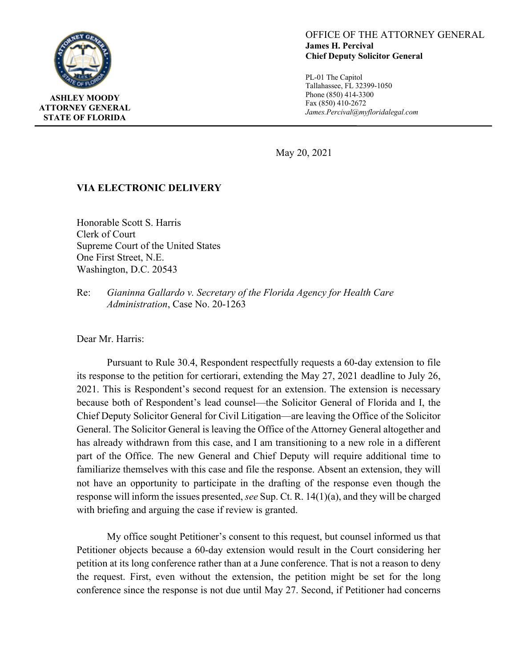

## OFFICE OF THE ATTORNEY GENERAL **James H. Percival Chief Deputy Solicitor General**

PL-01 The Capitol Tallahassee, FL 32399-1050 Phone (850) 414-3300 Fax (850) 410-2672 *James.Percival@myfloridalegal.com*

May 20, 2021

## **VIA ELECTRONIC DELIVERY**

Honorable Scott S. Harris Clerk of Court Supreme Court of the United States One First Street, N.E. Washington, D.C. 20543

Re: *Gianinna Gallardo v. Secretary of the Florida Agency for Health Care Administration*, Case No. 20-1263

Dear Mr. Harris:

Pursuant to Rule 30.4, Respondent respectfully requests a 60-day extension to file its response to the petition for certiorari, extending the May 27, 2021 deadline to July 26, 2021. This is Respondent's second request for an extension. The extension is necessary because both of Respondent's lead counsel—the Solicitor General of Florida and I, the Chief Deputy Solicitor General for Civil Litigation—are leaving the Office of the Solicitor General. The Solicitor General is leaving the Office of the Attorney General altogether and has already withdrawn from this case, and I am transitioning to a new role in a different part of the Office. The new General and Chief Deputy will require additional time to familiarize themselves with this case and file the response. Absent an extension, they will not have an opportunity to participate in the drafting of the response even though the response will inform the issues presented, *see* Sup. Ct. R. 14(1)(a), and they will be charged with briefing and arguing the case if review is granted.

My office sought Petitioner's consent to this request, but counsel informed us that Petitioner objects because a 60-day extension would result in the Court considering her petition at its long conference rather than at a June conference. That is not a reason to deny the request. First, even without the extension, the petition might be set for the long conference since the response is not due until May 27. Second, if Petitioner had concerns